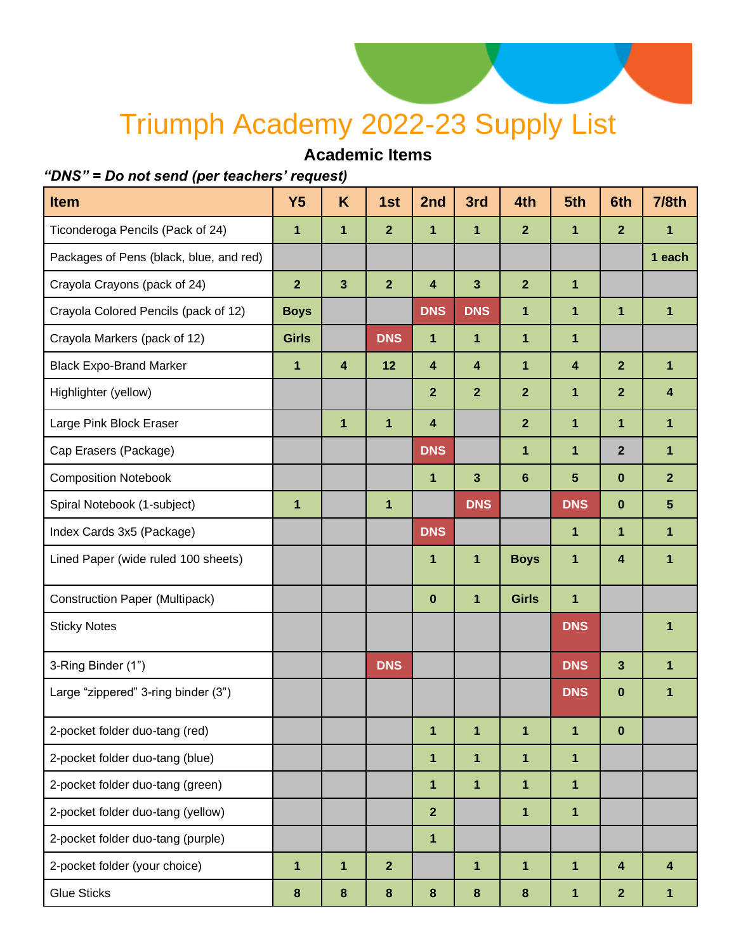## Triumph Academy 2022-23 Supply List

### **Academic Items**

#### *"DNS" = Do not send (per teachers' request)*

| <b>Item</b>                             | <b>Y5</b>      | K                | 1st            | 2nd                     | 3rd                     | 4th            | 5th                     | 6th                     | <b>7/8th</b>            |
|-----------------------------------------|----------------|------------------|----------------|-------------------------|-------------------------|----------------|-------------------------|-------------------------|-------------------------|
| Ticonderoga Pencils (Pack of 24)        | 1              | $\mathbf{1}$     | $\overline{2}$ | 1                       | 1                       | $\overline{2}$ | 1                       | $\overline{2}$          | 1                       |
| Packages of Pens (black, blue, and red) |                |                  |                |                         |                         |                |                         |                         | 1 each                  |
| Crayola Crayons (pack of 24)            | $\overline{2}$ | $\mathbf{3}$     | $\overline{2}$ | $\overline{\mathbf{4}}$ | $\overline{\mathbf{3}}$ | $\overline{2}$ | $\mathbf{1}$            |                         |                         |
| Crayola Colored Pencils (pack of 12)    | <b>Boys</b>    |                  |                | <b>DNS</b>              | <b>DNS</b>              | 1              | 1                       | $\mathbf{1}$            | 1                       |
| Crayola Markers (pack of 12)            | <b>Girls</b>   |                  | <b>DNS</b>     | 1                       | 1                       | 1              | 1                       |                         |                         |
| <b>Black Expo-Brand Marker</b>          | 1              | $\boldsymbol{4}$ | 12             | 4                       | $\overline{\mathbf{4}}$ | 1              | $\overline{\mathbf{4}}$ | $\overline{2}$          | $\mathbf{1}$            |
| Highlighter (yellow)                    |                |                  |                | $\overline{2}$          | $\overline{2}$          | $\overline{2}$ | 1                       | $\overline{2}$          | $\overline{\mathbf{4}}$ |
| Large Pink Block Eraser                 |                | $\mathbf{1}$     | $\mathbf{1}$   | $\overline{\mathbf{4}}$ |                         | $\overline{2}$ | 1                       | $\mathbf{1}$            | $\mathbf{1}$            |
| Cap Erasers (Package)                   |                |                  |                | <b>DNS</b>              |                         | 1              | 1                       | $\overline{2}$          | $\mathbf{1}$            |
| <b>Composition Notebook</b>             |                |                  |                | 1                       | $\overline{\mathbf{3}}$ | $6\phantom{a}$ | 5                       | $\mathbf 0$             | $\overline{2}$          |
| Spiral Notebook (1-subject)             | 1              |                  | 1              |                         | <b>DNS</b>              |                | <b>DNS</b>              | $\bf{0}$                | $5\phantom{.0}$         |
| Index Cards 3x5 (Package)               |                |                  |                | <b>DNS</b>              |                         |                | 1                       | 1                       | 1                       |
| Lined Paper (wide ruled 100 sheets)     |                |                  |                | 1                       | 1                       | <b>Boys</b>    | 1                       | 4                       | 1                       |
| <b>Construction Paper (Multipack)</b>   |                |                  |                | $\pmb{0}$               | 1                       | <b>Girls</b>   | 1                       |                         |                         |
| <b>Sticky Notes</b>                     |                |                  |                |                         |                         |                | <b>DNS</b>              |                         | 1                       |
| 3-Ring Binder (1")                      |                |                  | <b>DNS</b>     |                         |                         |                | <b>DNS</b>              | $\overline{\mathbf{3}}$ | 1                       |
| Large "zippered" 3-ring binder (3")     |                |                  |                |                         |                         |                | <b>DNS</b>              | $\bf{0}$                | 1                       |
| 2-pocket folder duo-tang (red)          |                |                  |                | 1                       | 1                       | 1              | 1                       | $\bf{0}$                |                         |
| 2-pocket folder duo-tang (blue)         |                |                  |                | 1                       | 1                       | 1              | 1                       |                         |                         |
| 2-pocket folder duo-tang (green)        |                |                  |                | 1                       | 1                       | 1              | $\mathbf 1$             |                         |                         |
| 2-pocket folder duo-tang (yellow)       |                |                  |                | $\overline{2}$          |                         | 1              | $\mathbf{1}$            |                         |                         |
| 2-pocket folder duo-tang (purple)       |                |                  |                | 1                       |                         |                |                         |                         |                         |
| 2-pocket folder (your choice)           | 1              | $\mathbf{1}$     | $\overline{2}$ |                         | 1                       | $\mathbf{1}$   | 1                       | $\overline{\mathbf{4}}$ | 4                       |
| <b>Glue Sticks</b>                      | 8              | $\pmb{8}$        | $\bf 8$        | $\bf{8}$                | 8                       | $\bf 8$        | 1                       | $\mathbf{2}$            | 1                       |